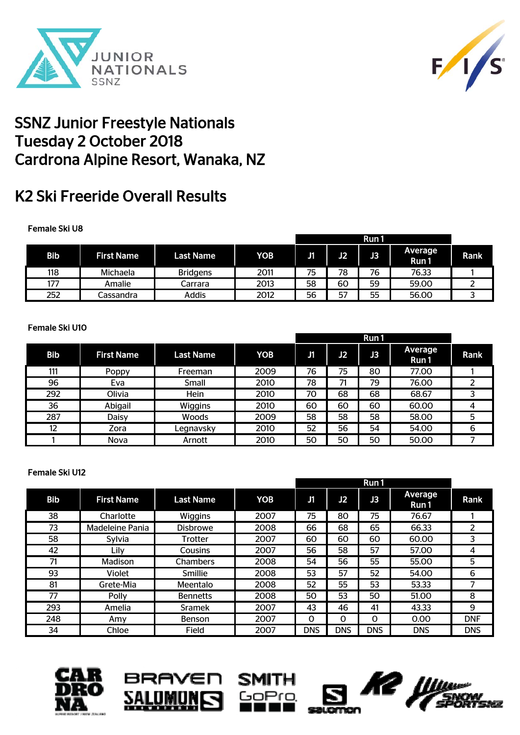



## SSNZ Junior Freestyle Nationals Tuesday 2 October 2018 Cardrona Alpine Resort, Wanaka, NZ

# K2 Ski Freeride Overall Results

Female Ski U8

|     |                   |                  |      | Run 1 |    |    |                 |      |
|-----|-------------------|------------------|------|-------|----|----|-----------------|------|
| Bib | <b>First Name</b> | <b>Last Name</b> | YOB  | J1    | J2 | J3 | Average<br>Run1 | Rank |
| 118 | Michaela          | <b>Bridgens</b>  | 2011 | 75    | 78 | 76 | 76.33           |      |
| 177 | Amalie            | Carrara          | 2013 | 58    | 60 | 59 | 59.00           |      |
| 252 | Cassandra         | <b>Addis</b>     | 2012 | 56    | 57 | 55 | 56.00           |      |

### Female Ski U10

|            |                   |                  |      |    |    | Run 1 |                  |      |
|------------|-------------------|------------------|------|----|----|-------|------------------|------|
| <b>Bib</b> | <b>First Name</b> | <b>Last Name</b> | YOB  | J1 | J2 | J3    | Average<br>Run 1 | Rank |
| 111        | Poppy             | Freeman          | 2009 | 76 | 75 | 80    | 77.00            |      |
| 96         | Eva               | Small            | 2010 | 78 |    | 79    | 76.00            |      |
| 292        | Olivia            | Hein             | 2010 | 70 | 68 | 68    | 68.67            |      |
| 36         | Abigail           | <b>Wiggins</b>   | 2010 | 60 | 60 | 60    | 60.00            |      |
| 287        | Daisy             | Woods            | 2009 | 58 | 58 | 58    | 58.00            | 5    |
| 12         | Zora              | Legnavsky        | 2010 | 52 | 56 | 54    | 54.00            | 6    |
|            | <b>Nova</b>       | Arnott           | 2010 | 50 | 50 | 50    | 50.00            |      |

#### Female Ski U12

| <b>Bib</b> | <b>First Name</b> | <b>Last Name</b> | YOB  | Л          | J2         | J3         | Average<br>Run 1 | Rank       |
|------------|-------------------|------------------|------|------------|------------|------------|------------------|------------|
| 38         | Charlotte         | <b>Wiggins</b>   | 2007 | 75         | 80         | 75         | 76.67            |            |
| 73         | Madeleine Pania   | <b>Disbrowe</b>  | 2008 | 66         | 68         | 65         | 66.33            | 2          |
| 58         | Sylvia            | Trotter          | 2007 | 60         | 60         | 60         | 60.00            | 3          |
| 42         | Lily              | Cousins          | 2007 | 56         | 58         | 57         | 57.00            | 4          |
| 71         | <b>Madison</b>    | <b>Chambers</b>  | 2008 | 54         | 56         | 55         | 55.00            | 5          |
| 93         | Violet            | Smillie          | 2008 | 53         | 57         | 52         | 54.00            | 6          |
| 81         | Grete-Mia         | Meentalo         | 2008 | 52         | 55         | 53         | 53.33            | 7          |
| 77         | <b>Polly</b>      | <b>Bennetts</b>  | 2008 | 50         | 53         | 50         | 51.00            | 8          |
| 293        | Amelia            | <b>Sramek</b>    | 2007 | 43         | 46         | 41         | 43.33            | 9          |
| 248        | Amy               | Benson           | 2007 | $\Omega$   | Ω          | 0          | 0.00             | <b>DNF</b> |
| 34         | Chloe             | <b>Field</b>     | 2007 | <b>DNS</b> | <b>DNS</b> | <b>DNS</b> | <b>DNS</b>       | <b>DNS</b> |







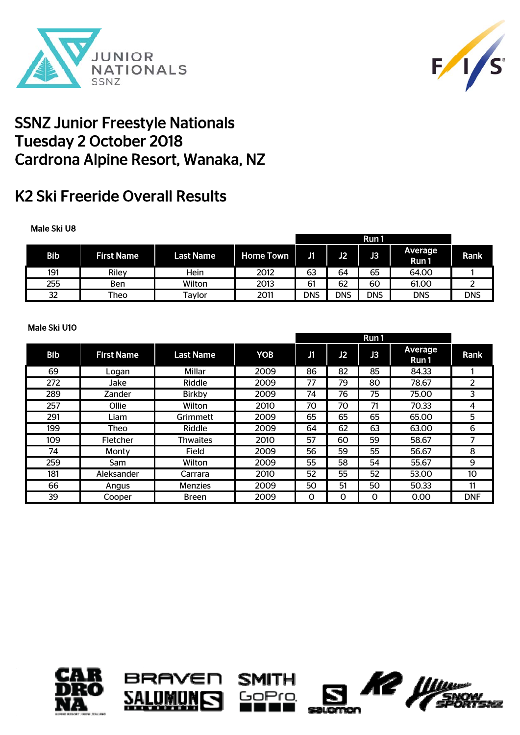



## SSNZ Junior Freestyle Nationals Tuesday 2 October 2018 Cardrona Alpine Resort, Wanaka, NZ

# K2 Ski Freeride Overall Results

Male Ski U8

|            |                   |                  |                  |            |     | Run 1      |                        |            |
|------------|-------------------|------------------|------------------|------------|-----|------------|------------------------|------------|
| <b>Bib</b> | <b>First Name</b> | <b>Last Name</b> | <b>Home Town</b> | J1         | J2  | J3         | <b>Average</b><br>Run1 | Rank       |
| 191        | Rilev             | Hein             | 2012             | 63         | 64  | 65         | 64.00                  |            |
| 255        | Ben               | Wilton           | 2013             | 61         | 62  | 60         | 61.00                  |            |
| 32         | Theo              | Tavlor           | 2011             | <b>DNS</b> | dns | <b>DNS</b> | <b>DNS</b>             | <b>DNS</b> |

#### Male Ski U10

|            |                   |                  |            |    |    | Run 1 |                         |                |
|------------|-------------------|------------------|------------|----|----|-------|-------------------------|----------------|
| <b>Bib</b> | <b>First Name</b> | <b>Last Name</b> | <b>YOB</b> | J1 | J2 | J3    | <b>Average</b><br>Run 1 | Rank           |
| 69         | Logan             | Millar           | 2009       | 86 | 82 | 85    | 84.33                   |                |
| 272        | Jake              | Riddle           | 2009       | 77 | 79 | 80    | 78.67                   | $\overline{2}$ |
| 289        | Zander            | <b>Birkby</b>    | 2009       | 74 | 76 | 75    | 75.00                   | 3              |
| 257        | Ollie             | Wilton           | 2010       | 70 | 70 | 71    | 70.33                   | 4              |
| 291        | Liam              | Grimmett         | 2009       | 65 | 65 | 65    | 65.00                   | 5              |
| 199        | Theo              | Riddle           | 2009       | 64 | 62 | 63    | 63.00                   | 6              |
| 109        | Fletcher          | <b>Thwaites</b>  | 2010       | 57 | 60 | 59    | 58.67                   | 7              |
| 74         | Monty             | <b>Field</b>     | 2009       | 56 | 59 | 55    | 56.67                   | 8              |
| 259        | Sam               | Wilton           | 2009       | 55 | 58 | 54    | 55.67                   | 9              |
| 181        | Aleksander        | Carrara          | 2010       | 52 | 55 | 52    | 53.00                   | 10             |
| 66         | Angus             | <b>Menzies</b>   | 2009       | 50 | 51 | 50    | 50.33                   | 11             |
| 39         | Cooper            | <b>Breen</b>     | 2009       | 0  | 0  | 0     | 0.00                    | <b>DNF</b>     |